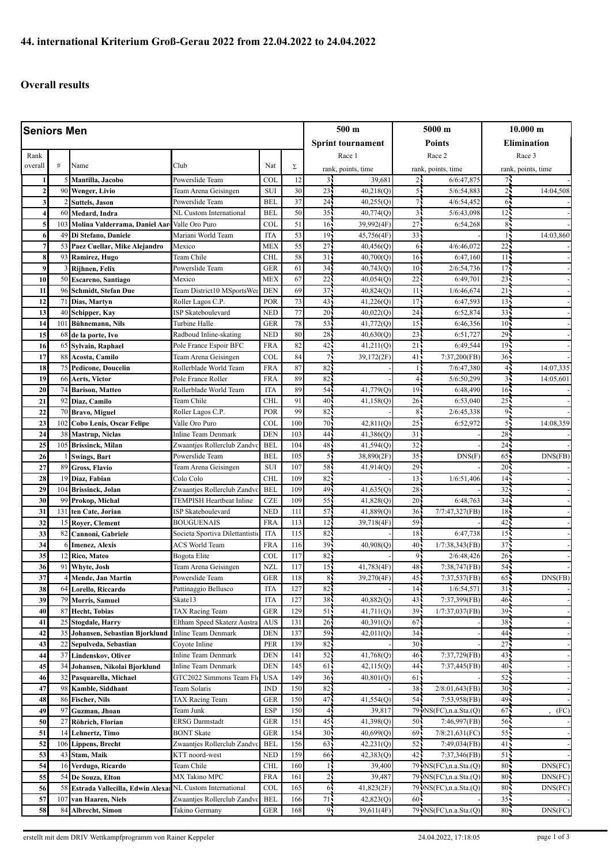## **Overall results**

| <b>Seniors Men</b>      |           |                                                 |                                         |                          |                 |                 | 500 m                    |                       | 5000 m                     |                       | $10.000 \;{\rm m}$ |  |
|-------------------------|-----------|-------------------------------------------------|-----------------------------------------|--------------------------|-----------------|-----------------|--------------------------|-----------------------|----------------------------|-----------------------|--------------------|--|
|                         |           |                                                 |                                         |                          |                 |                 | <b>Sprint tournament</b> | <b>Points</b>         |                            | <b>Elimination</b>    |                    |  |
| Rank                    |           |                                                 |                                         |                          |                 |                 | Race 1                   |                       | Race 2                     |                       | Race 3             |  |
| overall                 | #         | Name                                            | Club                                    | Nat                      | Σ               |                 | rank, points, time       |                       | rank, points, time         |                       | rank, points, time |  |
|                         |           | Mantilla, Jacobo                                | Powerslide Team                         | <b>COL</b>               | 12              | $\overline{3}$  | 39,681                   | 2٠                    | 6/6:47,875                 | 75                    |                    |  |
| $\mathbf{2}$            | 90        | Wenger, Livio                                   | Team Arena Geisingen                    | <b>SUI</b>               | 30              | 23 <sub>1</sub> | 40,218(Q)                | 55                    | 5/6:54,883                 | 25                    | 14:04,508          |  |
| 3                       |           | <b>Suttels, Jason</b>                           | Powerslide Team                         | <b>BEL</b>               | $\overline{37}$ | 24              | 40,255(Q)                | 71                    | 4/6:54,452                 | 6                     |                    |  |
| $\overline{\mathbf{4}}$ | 60        | Medard, Indra                                   | NL Custom International                 | <b>BEL</b>               | 50              | 35              | 40,774(Q)                | $\overline{3}$        | 5/6:43,098                 | 12 <sub>1</sub>       |                    |  |
| 5                       | 103       | Molina Valderrama, Daniel Aar-                  | Valle Oro Puro                          | COL                      | 51              | 16              | 39,992(4F)               | 27                    | 6:54,268                   | 85                    |                    |  |
| 6                       | 49        | Di Stefano, Daniele                             | Mariani World Team                      | <b>ITA</b>               | 53              | 19              | 45,756(4F)               | 33 <sub>1</sub>       |                            | 15                    | 14:03,860          |  |
| $\overline{7}$          | 53        | Paez Cuellar, Mike Alejandro                    | Mexico                                  | <b>MEX</b>               | 55              | 27              | 40,456(Q)                | 6                     | 4/6:46,072                 | 22                    |                    |  |
| 8                       | 93        | Ramirez, Hugo                                   | Team Chile                              | <b>CHL</b>               | 58              | 31              | 40,700(Q)                | 16 <sub>1</sub>       | 6:47,160                   | 11.5                  |                    |  |
| 9                       |           | Rijhnen, Felix                                  | Powerslide Team                         | <b>GER</b>               | 61              | 34              | 40,743(0)                | 10 <sup>1</sup>       | 2/6:54,736                 | 17                    |                    |  |
| 10                      | 50        | <b>Escareno, Santiago</b>                       | Mexico                                  | <b>MEX</b>               | 67              | 22              | 40,054(Q)                | 22                    | 6:49,701                   | 23                    |                    |  |
| 11                      | 96        | Schmidt, Stefan Due                             | Team District10 MSportsWea              | <b>DEN</b>               | 69              | 37              | 40,824(Q)                | 11                    | 1/6:46,674                 | 21                    |                    |  |
| 12                      | 71        | Dias, Martyn                                    | Roller Lagos C.P.                       | POR                      | 73<br>77        | 43              | 41,226(Q)                | 17                    | 6:47,593                   | 13                    |                    |  |
| 13                      | 40        | Schipper, Kay                                   | ISP Skateboulevard                      | <b>NED</b>               |                 | 20              | 40,022(Q)                | 24                    | 6:52,874                   | 33                    |                    |  |
| 14<br>15                | 101<br>68 | Bühnemann, Nils                                 | Turbine Halle<br>Radboud Inline-skating | <b>GER</b><br><b>NED</b> | 78<br>80        | 53<br>28        | 41,772(Q)<br>40,630(Q)   | 15 <sub>1</sub><br>23 | 6:46.356<br>6:51.727       | 10 <sup>1</sup><br>29 |                    |  |
| 16                      | 65        | de la porte, Ivo<br>Sylvain, Raphael            | Pole France Espoir BFC                  | <b>FRA</b>               | 82              | 42              | 41,211(Q)                | 21                    | 6:49,544                   | 19                    |                    |  |
| 17                      | 88        | Acosta, Camilo                                  | Team Arena Geisingen                    | COL                      | 84              | 7 <sup>1</sup>  | 39,172(2F)               | 41 <sub>1</sub>       | 7:37,200(FB)               | $36 -$                |                    |  |
| 18                      | 75        | <b>Pedicone, Doucelin</b>                       | Rollerblade World Team                  | <b>FRA</b>               | 87              | 82              |                          | 16                    | 7/6:47,380                 | 44                    | 14:07,335          |  |
| 19                      | 66        | Aerts, Victor                                   | Pole France Roller                      | <b>FRA</b>               | 89              | 82              |                          | 4                     | 5/6:50,299                 | $\overline{3}$        | 14:05,601          |  |
| 20                      | 74        | <b>Barison, Matteo</b>                          | Rollerblade World Team                  | <b>ITA</b>               | 89              | 54              | 41,779(Q)                | 19 <sub>1</sub>       | 6:48,490                   | $16 -$                |                    |  |
| 21                      | 92        | Diaz, Camilo                                    | Team Chile                              | <b>CHL</b>               | 91              | 40              | 41,158(Q)                | 26                    | 6:53,040                   | 25                    |                    |  |
| 22                      | 70        | <b>Bravo, Miguel</b>                            | Roller Lagos C.P.                       | POR                      | 99              | 82              |                          | 8 <sub>1</sub>        | 2/6:45,338                 | 95                    |                    |  |
| 23                      | 102       | Cobo Lenis, Oscar Felipe                        | Valle Oro Puro                          | COL                      | 100             | 70              | 42,811(Q)                | 25                    | 6:52,972                   | 55                    | 14:08,359          |  |
| 24                      | 38        | <b>Mastrup</b> , Niclas                         | <b>Inline Team Denmark</b>              | <b>DEN</b>               | 103             | 44              | 41,386(Q)                | 31                    |                            | 28                    |                    |  |
| 25                      | 105       | <b>Brissinck, Milan</b>                         | Zwaantjes Rollerclub Zandvo             | <b>BEL</b>               | 104             | 48              | 41,594(Q)                | 32                    |                            | 24                    |                    |  |
| 26                      |           | <b>Swings, Bart</b>                             | Powerslide Team                         | <b>BEL</b>               | 105             | $\overline{5}$  | 38,890(2F)               | 35 <sub>1</sub>       | DNS(F)                     | 65                    | DNS(FB)            |  |
| 27                      | 89        | <b>Gross, Flavio</b>                            | Team Arena Geisingen                    | <b>SUI</b>               | 107             | 58              | 41,914(Q)                | 29                    |                            | 20 <sub>1</sub>       |                    |  |
| 28                      | 19        | Diaz, Fabian                                    | Colo Colo                               | <b>CHL</b>               | 109             | 82              |                          | $\overline{13}$       | 1/6:51,406                 | 14                    |                    |  |
| 29                      | 104       | Brissinck, Jolan                                | Zwaantjes Rollerclub Zandv              | <b>BEL</b>               | 109             | 49              | 41,635(Q)                | 28                    |                            | 32                    |                    |  |
| 30                      | 99        | Prokop, Michal                                  | TEMPISH Heartbeat Inline                | <b>CZE</b>               | 109             | 55              | 41,828(Q)                | 20                    | 6:48,763                   | 34                    |                    |  |
| 31                      | 131       | ten Cate, Jorian                                | ISP Skateboulevard                      | <b>NED</b>               | 111             | 57              | 41,889(Q)                | 36 <sup>1</sup>       | 7/7:47,327(FB)             | 18                    |                    |  |
| 32                      | 15        | Royer, Clement                                  | <b>BOUGUENAIS</b>                       | <b>FRA</b>               | 113             | 12              | 39,718(4F)               | 59.                   |                            | 42.                   |                    |  |
| 33                      | 82        | Cannoni, Gabriele                               | Societa Sportiva Dilettantistio         | <b>ITA</b>               | 115             | 82              |                          | 18                    | 6:47,738                   | 15 <sub>1</sub>       |                    |  |
| 34                      |           | <b>Imenez, Alexis</b>                           | <b>ACS World Team</b>                   | <b>FRA</b>               | 116             | 39              | 40,908(Q)                | 40                    | 1/7:38,343(FB)             | 37 <sup>1</sup>       |                    |  |
| 35                      | 12        | Rico, Mateo                                     | Bogota Elite                            | COL                      | 117             | 82              |                          | 91                    | 2/6:48,426                 | 26 <sub>1</sub>       |                    |  |
| 36                      | 91        | Whyte, Josh                                     | Team Arena Geisingen                    | <b>NZL</b>               | 117             | 15 <sub>1</sub> | 41,783(4F)               | 48.                   | 7:38,747(FB)               | 54                    |                    |  |
| 37                      |           | 4 Mende, Jan Martin                             | Powerslide Team                         | <b>GER</b>               | 118             | 8 <sub>1</sub>  | 39,270(4F)               | 45.                   | 7:37,537(FB)               | $65 -$                | DNS(FB)            |  |
| 38<br>39                | 79        | 64 Lorello, Riccardo                            | Pattinaggio Bellusco<br>Skate13         | <b>ITA</b><br><b>ITA</b> | 127<br>127      | 82<br>38        | 40,882(Q)                | 14 <sub>1</sub><br>43 | 1/6:54,571<br>7:37,399(FB) | 31 <sub>5</sub><br>46 |                    |  |
| 40                      | 87        | <b>Morris, Samuel</b>                           | TAX Racing Team                         | <b>GER</b>               | 129             | 51              | 41,711(Q)                | 39                    | 1/7:37,037(FB)             | 39.                   |                    |  |
| 41                      | 25        | <b>Hecht</b> , Tobias<br><b>Stogdale, Harry</b> | Eltham Speed Skaterz Austra             | <b>AUS</b>               | 131             | 26 <sup>1</sup> | 40,391(Q)                | 67.                   |                            | $38 -$                |                    |  |
| 42                      | 35        | Johansen, Sebastian Bjorklund                   | Inline Team Denmark                     | <b>DEN</b>               | 137             | 59              | 42,011(Q)                | 34.                   |                            | 44                    |                    |  |
| 43                      | 22        | Sepulveda, Sebastian                            | Coyote Inline                           | PER                      | 139             | 82              |                          | 30 <sub>1</sub>       |                            | 27                    |                    |  |
| 44                      | 37        | Lindenskov, Oliver                              | <b>Inline Team Denmark</b>              | <b>DEN</b>               | 141             | 52 <sub>2</sub> | 41,768(Q)                | 46.                   | 7:37,729(FB)               | 43.                   |                    |  |
| 45                      | 34        | Johansen, Nikolai Bjorklund                     | <b>Inline Team Denmark</b>              | <b>DEN</b>               | 145             | 61              | 42,115(Q)                | 44                    | 7:37,445(FB)               | 40                    |                    |  |
| 46                      | 32        | Pasquarella, Michael                            | GTC2022 Simmons Team Fl                 | <b>USA</b>               | 149             | 36 <sub>1</sub> | 40,801(Q)                | 61                    |                            | 52.                   |                    |  |
| 47                      | 98        | Kamble, Siddhant                                | Team Solaris                            | <b>IND</b>               | 150             | 82              |                          | 38-                   | 2/8:01,643(FB)             | $30 -$                |                    |  |
| 48                      | 86        | <b>Fischer, Nils</b>                            | TAX Racing Team                         | <b>GER</b>               | 150             | 47              | 41,554(Q)                | 54,                   | 7:53,958(FB)               | 49.                   |                    |  |
| 49                      | 97        | Guzman, Jhoan                                   | Team Junk                               | <b>ESP</b>               | 150             | $\ddot{4}$      | 39,817                   |                       | 79 NS(FC), n.a. Sta. (Q)   | 67                    | (FC)               |  |
| 50                      | 27        | Röhrich, Florian                                | <b>ERSG Darmstadt</b>                   | <b>GER</b>               | 151             | 45 <sub>1</sub> | 41,398(Q)                | 50-                   | 7:46,997(FB)               | $56 -$                |                    |  |
| 51                      | 14        | Lehnertz, Timo                                  | <b>BONT Skate</b>                       | <b>GER</b>               | 154             | 30 <sub>1</sub> | 40,699(Q)                | 69.                   | 7/8:21,631(FC)             | 55.                   |                    |  |
| 52                      | 106       | <b>Lippens, Brecht</b>                          | Zwaantjes Rollerclub Zandvo             | <b>BEL</b>               | 156             | 63              | 42,231(Q)                | 52                    | 7:49,034(FB)               | 41 <sub>1</sub>       |                    |  |
| 53                      | 43        | Stam, Maik                                      | KTT noord-west                          | <b>NED</b>               | 159             | 66              | 42,383(Q)                | 42.                   | 7:37,346(FB)               | 515                   |                    |  |
| 54                      | 16        | Verdugo, Ricardo                                | Team Chile                              | <b>CHL</b>               | 160             | 19              | 39,400                   |                       | 79 · NS(FC), n.a. Sta. (Q) | 80.                   | DNS(FC)            |  |
| 55                      | 54        | De Souza, Elton                                 | MX Takino MPC                           | <b>FRA</b>               | 161             | 2 <sub>1</sub>  | 39,487                   |                       | 79 NS(FC), n.a. Sta.(Q)    | 80.                   | DNS(FC)            |  |
| 56                      | 58        | Estrada Vallecilla, Edwin Alexar                | NL Custom International                 | COL                      | 165             | 6               | 41,823(2F)               |                       | 79 · NS(FC), n.a. Sta. (Q) | $80 -$                | DNS(FC)            |  |
| 57                      | 107       | van Haaren, Niels                               | Zwaantjes Rollerclub Zandvo             | <b>BEL</b>               | 166             | 71              | 42,823(Q)                | 60                    |                            | 35                    |                    |  |
| 58                      | 84        | Albrecht, Simon                                 | Takino Germany                          | <b>GER</b>               | 168             | 91              | 39,611(4F)               |                       | 79 NS(FC), n.a. Sta. (Q)   | 80.                   | DNS(FC)            |  |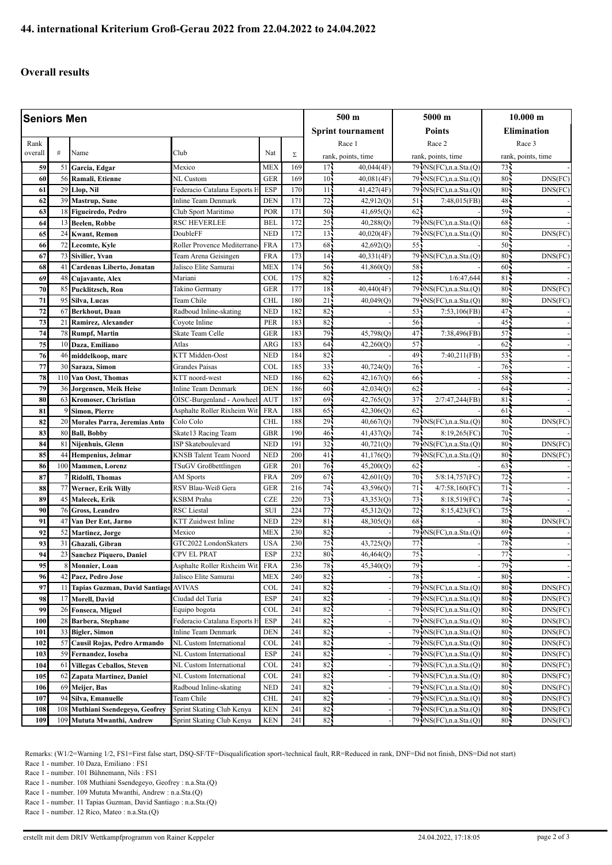## **Overall results**

| <b>Seniors Men</b> |          |                                                     |                                                |                   |            |                   | 500 m                            |                 | 5000 m                                             |                 | $10.000 \;{\rm m}$ |  |
|--------------------|----------|-----------------------------------------------------|------------------------------------------------|-------------------|------------|-------------------|----------------------------------|-----------------|----------------------------------------------------|-----------------|--------------------|--|
|                    |          |                                                     |                                                |                   |            | Sprint tournament |                                  | <b>Points</b>   |                                                    | Elimination     |                    |  |
| Rank               |          |                                                     |                                                |                   |            |                   | Race 1                           |                 | Race 2                                             |                 | Race 3             |  |
| overall            | #        | Name                                                | Club                                           | Nat               | Σ          |                   |                                  |                 |                                                    |                 |                    |  |
| 59                 | 51       |                                                     | Mexico                                         | <b>MEX</b>        | 169        | 17 <sup>1</sup>   | rank, points, time<br>40,044(4F) |                 | rank, points, time<br>79 NS(FC), n.a. Sta.(Q)      | 73.             | rank, points, time |  |
| 60                 | 56       | Garcia, Edgar<br>Ramali, Etienne                    | NL Custom                                      | <b>GER</b>        | 169        | 10 <sup>1</sup>   | 40,081(4F)                       |                 | 79 NS(FC), n.a. Sta.(Q)                            | 80              | DNS(FC)            |  |
| 61                 | 29       | Llop, Nil                                           | Federacio Catalana Esports F                   | <b>ESP</b>        | 170        | 11                | 41,427(4F)                       |                 | 79 NS(FC), n.a. Sta.(Q)                            | 80 <sub>1</sub> | DNS(FC)            |  |
| 62                 | 39       | <b>Mastrup</b> , Sune                               | Inline Team Denmark                            | <b>DEN</b>        | 171        | 72                | 42,912(Q)                        | 51.             | 7:48,015(FB)                                       | 48              |                    |  |
| 63                 | 18       | Figueiredo, Pedro                                   | Club Sport Maritimo                            | POR               | 171        | 50                | 41,695(Q)                        | 62              |                                                    | 59              |                    |  |
| 64                 | 13       | <b>Beelen, Robbe</b>                                | <b>RSC HEVERLEE</b>                            | <b>BEL</b>        | 172        | 25                | 40,288(Q)                        |                 | 79 NS(FC), n.a. Sta.(Q)                            | 68              |                    |  |
| 65                 | 24       | <b>Kwant, Remon</b>                                 | DoubleFF                                       | <b>NED</b>        | 172        | 13                | 40,020(4F)                       |                 | 79 NS(FC), n.a. Sta. (Q)                           | 80              | DNS(FC)            |  |
| 66                 | 72       | Lecomte, Kyle                                       | Roller Provence Mediterrane                    | <b>FRA</b>        | 173        | 68                | 42,692(Q)                        | 55 <sub>1</sub> |                                                    | $50 -$          |                    |  |
| 67                 | 73       | Sivilier, Yvan                                      | Team Arena Geisingen                           | <b>FRA</b>        | 173        | 14                | 40,331(4F)                       |                 | 79 NS(FC), n.a. Sta.(Q)                            | 80 <sup>1</sup> | DNS(FC)            |  |
| 68                 | 41       | Cardenas Liberto, Jonatan                           | Jalisco Elite Samurai                          | <b>MEX</b>        | 174        | 56                | 41,860(Q)                        | 58              |                                                    | 60              |                    |  |
| 69                 | 48       | Cujavante, Alex                                     | Mariani                                        | <b>COL</b>        | 175        | 82                |                                  | 12 <sup>7</sup> | 1/6:47,644                                         | 81              |                    |  |
| 70                 | 85       | Pucklitzsch, Ron                                    | Takino Germany                                 | <b>GER</b>        | 177        | 18                | 40,440(4F)                       |                 | 79 NS(FC), n.a. Sta. (Q)                           | 80              | DNS(FC)            |  |
| 71                 | 95       | Silva, Lucas                                        | Team Chile                                     | <b>CHL</b>        | 180        | 21                | 40,049(Q)                        |                 | 79 · NS(FC), n.a. Sta. (Q)                         | 80              | DNS(FC)            |  |
| 72                 | 67       | Berkhout, Daan                                      | Radboud Inline-skating                         | <b>NED</b>        | 182        | 82                |                                  | 53              | 7:53,106(FB)                                       | 47              |                    |  |
| 73                 | 21       | Ramirez, Alexander                                  | Coyote Inline                                  | PER               | 183        | 82                |                                  | 56              |                                                    | 45              |                    |  |
| 74                 | 78       | <b>Rumpf, Martin</b>                                | Skate Team Celle                               | <b>GER</b>        | 183        | 79                | 45,798(Q)                        | 47              | 7:38,496(FB)                                       | 57              |                    |  |
| 75                 | 10       | Daza, Emiliano                                      | Atlas                                          | ARG               | 183        | 64                | 42,260(Q)                        | 57              |                                                    | 62              |                    |  |
| 76                 | 46       | middelkoop, marc                                    | KTT Midden-Oost                                | <b>NED</b>        | 184        | 82                |                                  | 49              | 7:40,211(FB)                                       | 53              |                    |  |
| 77                 | 30       | Saraza, Simon                                       | <b>Grandes Paisas</b>                          | COL               | 185        | 33                | 40,724(0)                        | 76              |                                                    | 76              |                    |  |
| 78                 | 110      | Van Oost, Thomas                                    | KTT noord-west                                 | <b>NED</b>        | 186        | 62                | 42,167(Q)                        | 66              |                                                    | 58              |                    |  |
| 79                 | 36       | Jorgensen, Meik Heise                               | Inline Team Denmark                            | <b>DEN</b>        | 186        | 60                | 42,034(Q)                        | 62              |                                                    | 64              |                    |  |
| 80                 | 63       | <b>Kromoser, Christian</b>                          | ÖISC-Burgenland - Aowheel                      | <b>AUT</b>        | 187        | 69                | 42,765(Q)                        | 37 <sup>1</sup> | 2/7:47,244(FB                                      | 81              |                    |  |
| 81                 |          | Simon, Pierre                                       | Asphalte Roller Rixheim Wit                    | <b>FRA</b>        | 188        | 65                | 42,306(Q)                        | 62              |                                                    | 61 <sub>1</sub> |                    |  |
| 82                 | 20       | Morales Parra, Jeremias Anto                        | Colo Colo                                      | <b>CHL</b>        | 188        | 29                | 40,667(Q)                        |                 | 79 NS(FC), n.a. Sta. (Q)                           | 80 <sup>1</sup> | DNS(FC)            |  |
| 83                 | 80       | <b>Ball, Bobby</b>                                  | Skate13 Racing Team                            | <b>GBR</b>        | 190        | 46                | 41,437(Q)                        | 74              | 8:19,265(FC)                                       | 70              |                    |  |
| 84                 | 81       | Nijenhuis, Glenn                                    | ISP Skateboulevard                             | <b>NED</b>        | 191        | 32                | 40,721(Q)                        |                 | 79 · NS(FC), n.a. Sta. (Q)                         | 80              | DNS(FC)            |  |
| 85                 | 44       | Hempenius, Jelmar                                   | KNSB Talent Team Noord                         | <b>NED</b>        | 200        | 41                | 41,176(Q)                        |                 | 79 NS(FC), n.a. Sta. (Q)                           | 80              | DNS(FC)            |  |
| 86                 | 100      | <b>Mammen</b> , Lorenz                              | TSuGV Großbettlingen                           | <b>GER</b>        | 201        | 76                | 45,200(Q)                        | 62              |                                                    | 63              |                    |  |
| 87                 |          | Ridolfi, Thomas                                     | AM Sports                                      | <b>FRA</b>        | 209        | 67                | 42,601(Q)                        | 70              | 5/8:14,757(FC)                                     | 72              |                    |  |
| 88                 | 77       | Werner, Erik Willy                                  | RSV Blau-Weiß Gera                             | <b>GER</b>        | 216        | 74                | 43,596(Q)                        | 71              | 4/7:58,160(FC)                                     | 71              |                    |  |
| 89                 | 45       | Malecek, Erik                                       | KSBM Praha                                     | <b>CZE</b>        | 220        | 73                | 43,353(Q)                        | 73              | 8:18,519(FC)                                       | 74              |                    |  |
| 90                 | 76       | Gross, Leandro                                      | RSC Liestal                                    | <b>SUI</b>        | 224        | 77                | 45,312(Q)                        | $72 -$          | 8:15,423(FC)                                       | 75.             |                    |  |
| 91                 | 47       | Van Der Ent, Jarno                                  | KTT Zuidwest Inline                            | <b>NED</b>        | 229        | 81                | 48,305(Q)                        | 68              |                                                    | 80              | DNS(FC)            |  |
| 92                 | 52       | <b>Martinez</b> , Jorge                             | Mexico                                         | <b>MEX</b>        | 230        | 82                |                                  |                 | 79 NS(FC), n.a. Sta. (Q)                           | 69              |                    |  |
| 93                 | 31       | Ghazali, Gibran                                     | GTC2022 LondonSkaters                          | <b>USA</b>        | 230        | 75                | 43,725(Q)                        | 77              |                                                    | 78.             |                    |  |
| 94                 | 23       | <b>Sanchez Piquero, Daniel</b>                      | CPV EL PRAT                                    | <b>ESP</b>        | 232        | 80                | 46,464(Q)                        | 75              |                                                    | 77.             |                    |  |
| 95                 | 8        | Monnier, Loan                                       | Asphalte Roller Rixheim Wit FRA                |                   | 236        | 78                | 45,340(Q)                        | 79.             |                                                    | 79.             |                    |  |
| 96                 | 42       | Paez, Pedro Jose                                    | Jalisco Elite Samurai                          | <b>MEX</b>        | 240        | 82.               |                                  | 78.             |                                                    | $80 -$          |                    |  |
| 97                 | 11       | Tapias Guzman, David Santiago                       | AVIVAS<br>Ciudad del Turia                     | COL<br><b>ESP</b> | 241<br>241 | 82<br>82          |                                  |                 | 79 NS(FC), n.a. Sta.(Q)<br>79 NS(FC), n.a. Sta.(Q) | 80.<br>80.      | DNS(FC)            |  |
| 98<br>99           | 17       | Morell, David                                       |                                                |                   | 241        | 82                |                                  |                 | 79 NS(FC), n.a. Sta.(Q)                            | $80 -$          | DNS(FC)            |  |
| 100                | 26       | Fonseca, Miguel<br>Barbera, Stephane                | Equipo bogota<br>Federacio Catalana Esports F  | COL<br><b>ESP</b> | 241        | 82                |                                  |                 | 79 NS(FC), n.a. Sta.(Q)                            | 80              | DNS(FC)            |  |
|                    | 28<br>33 |                                                     |                                                | <b>DEN</b>        | 241        | 82                |                                  |                 | 79 NS(FC), n.a. Sta.(Q)                            | 80              | DNS(FC)<br>DNS(FC) |  |
| 101<br>102         | 57       | <b>Bigler, Simon</b><br>Causil Rojas, Pedro Armando | Inline Team Denmark<br>NL Custom International | <b>COL</b>        | 241        | 82                |                                  |                 | 79 NS(FC), n.a. Sta.(Q)                            | $80 -$          | DNS(FC)            |  |
| 103                | 59       | Fernandez, Ioseba                                   | NL Custom International                        | ESP               | 241        | 82                |                                  |                 | 79 NS(FC), n.a. Sta.(Q)                            | 80.             | DNS(FC)            |  |
| 104                | 61       | <b>Villegas Ceballos, Steven</b>                    | NL Custom International                        | <b>COL</b>        | 241        | 82                |                                  |                 | 79 NS(FC), n.a. Sta. (Q)                           | 80 <sub>1</sub> | DNS(FC)            |  |
| 105                | 62       | Zapata Martinez, Daniel                             | NL Custom International                        | COL               | 241        | 82                |                                  |                 | 79 · NS(FC), n.a. Sta. (Q)                         | $80 -$          | DNS(FC)            |  |
| 106                | 69       | Meijer, Bas                                         | Radboud Inline-skating                         | <b>NED</b>        | 241        | 82                |                                  |                 | 79 NS(FC), n.a. Sta.(Q)                            | 80              | DNS(FC)            |  |
| 107                | 94       | Silva, Emanuelle                                    | Team Chile                                     | <b>CHL</b>        | 241        | 82                |                                  |                 | 79 NS(FC), n.a. Sta.(Q)                            | 80.             | DNS(FC)            |  |
| 108                | 108      | Muthiani Ssendegeyo, Geofrey                        | Sprint Skating Club Kenya                      | <b>KEN</b>        | 241        | 82                |                                  |                 | 79 NS(FC), n.a. Sta. (Q)                           | $80 -$          | DNS(FC)            |  |
| 109                | 109      | Mututa Mwanthi, Andrew                              | Sprint Skating Club Kenya                      | <b>KEN</b>        | 241        | 82.               |                                  |                 | 79 NS(FC), n.a. Sta.(Q)                            | 80.             | DNS(FC)            |  |
|                    |          |                                                     |                                                |                   |            |                   |                                  |                 |                                                    |                 |                    |  |

Remarks: (W1/2=Warning 1/2, FS1=First false start, DSQ-SF/TF=Disqualification sport-/technical fault, RR=Reduced in rank, DNF=Did not finish, DNS=Did not start)

Race 1 - number. 10 Daza, Emiliano : FS1 Race 1 - number. 101 Bühnemann, Nils : FS1

Race 1 - number. 108 Muthiani Ssendegeyo, Geofrey : n.a.Sta.(Q) Race 1 - number. 109 Mututa Mwanthi, Andrew : n.a.Sta.(Q)

Race 1 - number. 11 Tapias Guzman, David Santiago : n.a.Sta.(Q)

Race 1 - number. 12 Rico, Mateo : n.a.Sta.(Q)